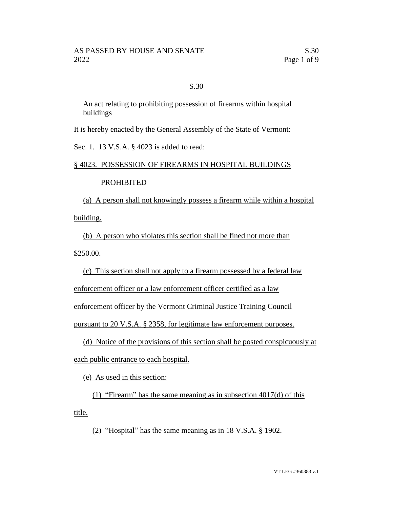# S.30

An act relating to prohibiting possession of firearms within hospital buildings

It is hereby enacted by the General Assembly of the State of Vermont:

Sec. 1. 13 V.S.A. § 4023 is added to read:

# § 4023. POSSESSION OF FIREARMS IN HOSPITAL BUILDINGS

# PROHIBITED

(a) A person shall not knowingly possess a firearm while within a hospital building.

(b) A person who violates this section shall be fined not more than \$250.00.

(c) This section shall not apply to a firearm possessed by a federal law

enforcement officer or a law enforcement officer certified as a law

enforcement officer by the Vermont Criminal Justice Training Council

pursuant to 20 V.S.A. § 2358, for legitimate law enforcement purposes.

(d) Notice of the provisions of this section shall be posted conspicuously at each public entrance to each hospital.

(e) As used in this section:

(1) "Firearm" has the same meaning as in subsection 4017(d) of this title.

(2) "Hospital" has the same meaning as in 18 V.S.A. § 1902.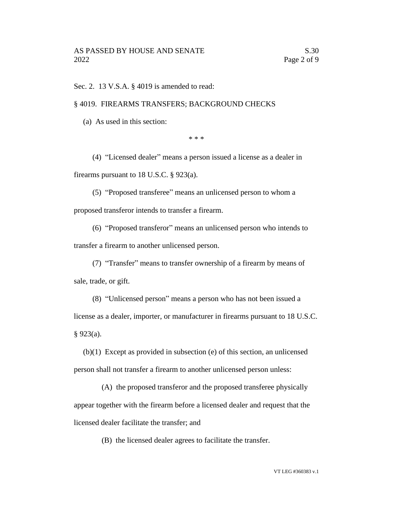Sec. 2. 13 V.S.A. § 4019 is amended to read:

## § 4019. FIREARMS TRANSFERS; BACKGROUND CHECKS

(a) As used in this section:

\* \* \*

(4) "Licensed dealer" means a person issued a license as a dealer in firearms pursuant to 18 U.S.C. § 923(a).

(5) "Proposed transferee" means an unlicensed person to whom a proposed transferor intends to transfer a firearm.

(6) "Proposed transferor" means an unlicensed person who intends to transfer a firearm to another unlicensed person.

(7) "Transfer" means to transfer ownership of a firearm by means of sale, trade, or gift.

(8) "Unlicensed person" means a person who has not been issued a license as a dealer, importer, or manufacturer in firearms pursuant to 18 U.S.C. § 923(a).

(b)(1) Except as provided in subsection (e) of this section, an unlicensed person shall not transfer a firearm to another unlicensed person unless:

(A) the proposed transferor and the proposed transferee physically appear together with the firearm before a licensed dealer and request that the licensed dealer facilitate the transfer; and

(B) the licensed dealer agrees to facilitate the transfer.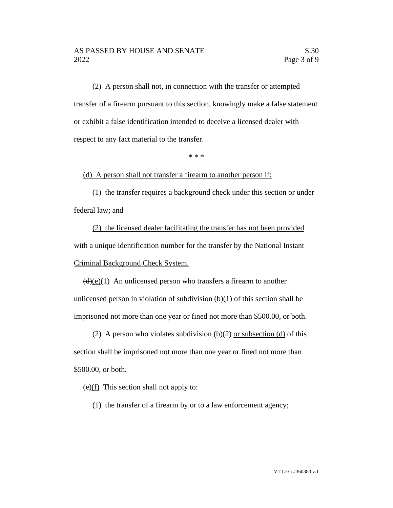(2) A person shall not, in connection with the transfer or attempted transfer of a firearm pursuant to this section, knowingly make a false statement or exhibit a false identification intended to deceive a licensed dealer with respect to any fact material to the transfer.

\* \* \*

(d) A person shall not transfer a firearm to another person if:

(1) the transfer requires a background check under this section or under federal law; and

(2) the licensed dealer facilitating the transfer has not been provided with a unique identification number for the transfer by the National Instant Criminal Background Check System.

 $\left(\frac{d}{e}\right)(e)(1)$  An unlicensed person who transfers a firearm to another unlicensed person in violation of subdivision  $(b)(1)$  of this section shall be imprisoned not more than one year or fined not more than \$500.00, or both.

(2) A person who violates subdivision (b)(2) or subsection (d) of this section shall be imprisoned not more than one year or fined not more than \$500.00, or both.

 $(e)(f)$  This section shall not apply to:

(1) the transfer of a firearm by or to a law enforcement agency;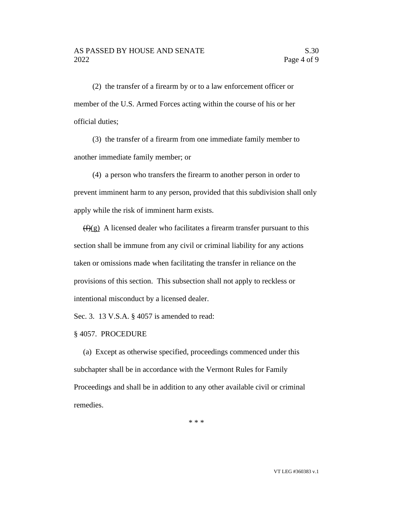(2) the transfer of a firearm by or to a law enforcement officer or member of the U.S. Armed Forces acting within the course of his or her official duties;

(3) the transfer of a firearm from one immediate family member to another immediate family member; or

(4) a person who transfers the firearm to another person in order to prevent imminent harm to any person, provided that this subdivision shall only apply while the risk of imminent harm exists.

 $(f)(g)$  A licensed dealer who facilitates a firearm transfer pursuant to this section shall be immune from any civil or criminal liability for any actions taken or omissions made when facilitating the transfer in reliance on the provisions of this section. This subsection shall not apply to reckless or intentional misconduct by a licensed dealer.

Sec. 3. 13 V.S.A. § 4057 is amended to read:

§ 4057. PROCEDURE

(a) Except as otherwise specified, proceedings commenced under this subchapter shall be in accordance with the Vermont Rules for Family Proceedings and shall be in addition to any other available civil or criminal remedies.

\* \* \*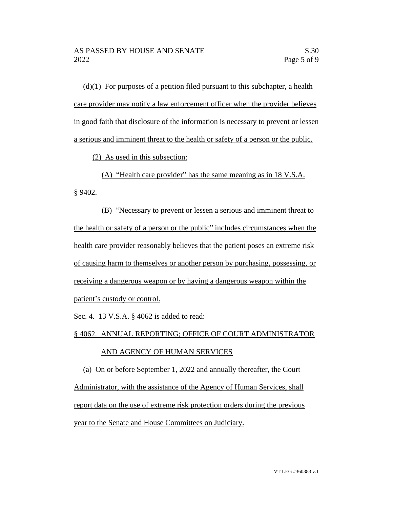$(d)(1)$  For purposes of a petition filed pursuant to this subchapter, a health care provider may notify a law enforcement officer when the provider believes in good faith that disclosure of the information is necessary to prevent or lessen a serious and imminent threat to the health or safety of a person or the public.

(2) As used in this subsection:

(A) "Health care provider" has the same meaning as in 18 V.S.A. § 9402.

(B) "Necessary to prevent or lessen a serious and imminent threat to the health or safety of a person or the public" includes circumstances when the health care provider reasonably believes that the patient poses an extreme risk of causing harm to themselves or another person by purchasing, possessing, or receiving a dangerous weapon or by having a dangerous weapon within the patient's custody or control.

Sec. 4. 13 V.S.A. § 4062 is added to read:

§ 4062. ANNUAL REPORTING; OFFICE OF COURT ADMINISTRATOR

# AND AGENCY OF HUMAN SERVICES

(a) On or before September 1, 2022 and annually thereafter, the Court Administrator, with the assistance of the Agency of Human Services, shall report data on the use of extreme risk protection orders during the previous year to the Senate and House Committees on Judiciary.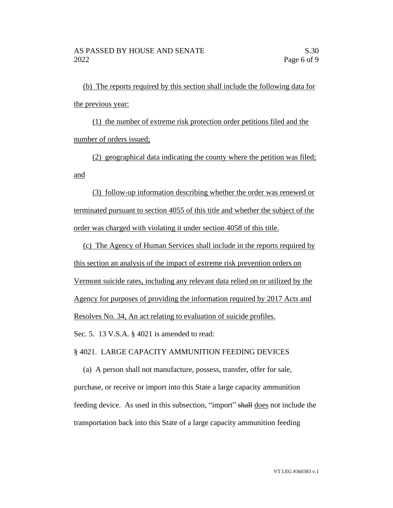(b) The reports required by this section shall include the following data for the previous year:

(1) the number of extreme risk protection order petitions filed and the number of orders issued;

(2) geographical data indicating the county where the petition was filed; and

(3) follow-up information describing whether the order was renewed or terminated pursuant to section 4055 of this title and whether the subject of the order was charged with violating it under section 4058 of this title.

(c) The Agency of Human Services shall include in the reports required by this section an analysis of the impact of extreme risk prevention orders on Vermont suicide rates, including any relevant data relied on or utilized by the Agency for purposes of providing the information required by 2017 Acts and Resolves No. 34, An act relating to evaluation of suicide profiles.

Sec. 5. 13 V.S.A. § 4021 is amended to read:

### § 4021. LARGE CAPACITY AMMUNITION FEEDING DEVICES

(a) A person shall not manufacture, possess, transfer, offer for sale, purchase, or receive or import into this State a large capacity ammunition feeding device. As used in this subsection, "import" shall does not include the transportation back into this State of a large capacity ammunition feeding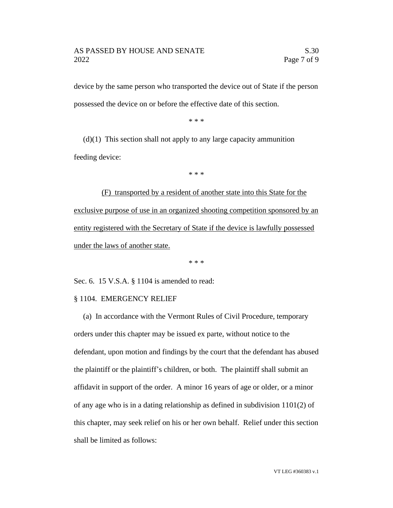## AS PASSED BY HOUSE AND SENATE S.30 2022 **Page 7 of 9**

device by the same person who transported the device out of State if the person possessed the device on or before the effective date of this section.

\* \* \*

 $(d)(1)$  This section shall not apply to any large capacity ammunition feeding device:

\* \* \*

(F) transported by a resident of another state into this State for the exclusive purpose of use in an organized shooting competition sponsored by an entity registered with the Secretary of State if the device is lawfully possessed under the laws of another state.

\* \* \*

Sec. 6. 15 V.S.A. § 1104 is amended to read:

### § 1104. EMERGENCY RELIEF

(a) In accordance with the Vermont Rules of Civil Procedure, temporary orders under this chapter may be issued ex parte, without notice to the defendant, upon motion and findings by the court that the defendant has abused the plaintiff or the plaintiff's children, or both. The plaintiff shall submit an affidavit in support of the order. A minor 16 years of age or older, or a minor of any age who is in a dating relationship as defined in subdivision  $1101(2)$  of this chapter, may seek relief on his or her own behalf. Relief under this section shall be limited as follows: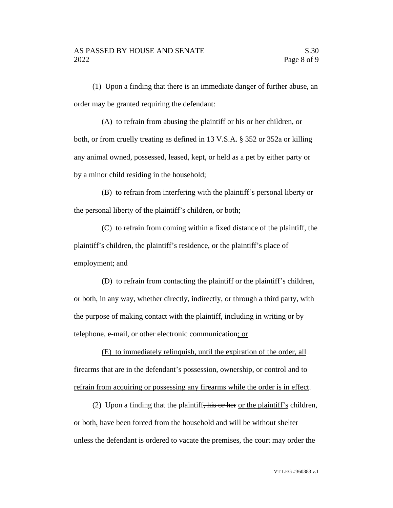(1) Upon a finding that there is an immediate danger of further abuse, an order may be granted requiring the defendant:

(A) to refrain from abusing the plaintiff or his or her children, or both, or from cruelly treating as defined in 13 V.S.A. § 352 or 352a or killing any animal owned, possessed, leased, kept, or held as a pet by either party or by a minor child residing in the household;

(B) to refrain from interfering with the plaintiff's personal liberty or the personal liberty of the plaintiff's children, or both;

(C) to refrain from coming within a fixed distance of the plaintiff, the plaintiff's children, the plaintiff's residence, or the plaintiff's place of employment; and

(D) to refrain from contacting the plaintiff or the plaintiff's children, or both, in any way, whether directly, indirectly, or through a third party, with the purpose of making contact with the plaintiff, including in writing or by telephone, e-mail, or other electronic communication; or

(E) to immediately relinquish, until the expiration of the order, all firearms that are in the defendant's possession, ownership, or control and to refrain from acquiring or possessing any firearms while the order is in effect.

(2) Upon a finding that the plaintiff, his or her or the plaintiff's children, or both, have been forced from the household and will be without shelter unless the defendant is ordered to vacate the premises, the court may order the